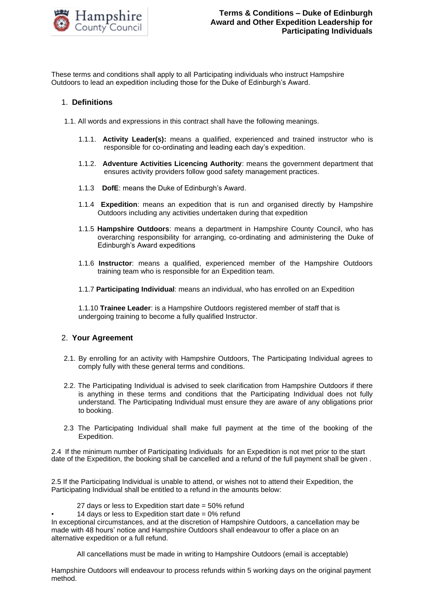

These terms and conditions shall apply to all Participating individuals who instruct Hampshire Outdoors to lead an expedition including those for the Duke of Edinburgh's Award.

### 1. **Definitions**

- 1.1. All words and expressions in this contract shall have the following meanings.
	- 1.1.1. **Activity Leader(s):** means a qualified, experienced and trained instructor who is responsible for co-ordinating and leading each day's expedition.
	- 1.1.2. **Adventure Activities Licencing Authority**: means the government department that ensures activity providers follow good safety management practices.
	- 1.1.3**DofE**: means the Duke of Edinburgh's Award.
	- 1.1.4 **Expedition**: means an expedition that is run and organised directly by Hampshire Outdoors including any activities undertaken during that expedition
	- 1.1.5 **Hampshire Outdoors**: means a department in Hampshire County Council, who has overarching responsibility for arranging, co-ordinating and administering the Duke of Edinburgh's Award expeditions
	- 1.1.6 **Instructor**: means a qualified, experienced member of the Hampshire Outdoors training team who is responsible for an Expedition team.
	- 1.1.7 **Participating Individual**: means an individual, who has enrolled on an Expedition

1.1.10 **Trainee Leader**: is a Hampshire Outdoors registered member of staff that is undergoing training to become a fully qualified Instructor.

### 2. **Your Agreement**

- 2.1. By enrolling for an activity with Hampshire Outdoors, The Participating Individual agrees to comply fully with these general terms and conditions.
- 2.2. The Participating Individual is advised to seek clarification from Hampshire Outdoors if there is anything in these terms and conditions that the Participating Individual does not fully understand. The Participating Individual must ensure they are aware of any obligations prior to booking.
- 2.3 The Participating Individual shall make full payment at the time of the booking of the Expedition.

2.4 If the minimum number of Participating Individuals for an Expedition is not met prior to the start date of the Expedition, the booking shall be cancelled and a refund of the full payment shall be given .

2.5 If the Participating Individual is unable to attend, or wishes not to attend their Expedition, the Participating Individual shall be entitled to a refund in the amounts below:

- 27 days or less to Expedition start date = 50% refund
- 14 days or less to Expedition start date  $= 0\%$  refund

In exceptional circumstances, and at the discretion of Hampshire Outdoors, a cancellation may be made with 48 hours' notice and Hampshire Outdoors shall endeavour to offer a place on an alternative expedition or a full refund.

All cancellations must be made in writing to Hampshire Outdoors (email is acceptable)

Hampshire Outdoors will endeavour to process refunds within 5 working days on the original payment method.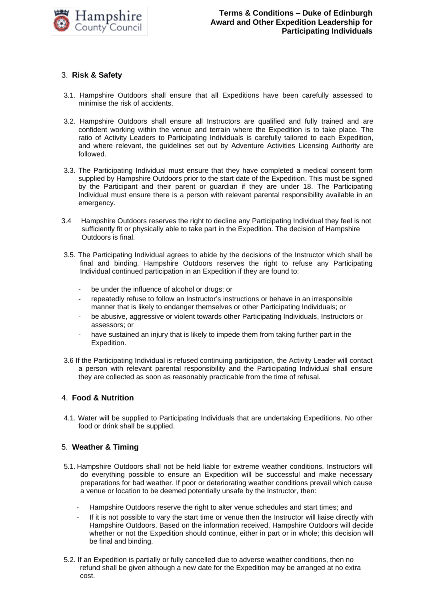

# 3. **Risk & Safety**

- 3.1. Hampshire Outdoors shall ensure that all Expeditions have been carefully assessed to minimise the risk of accidents.
- 3.2. Hampshire Outdoors shall ensure all Instructors are qualified and fully trained and are confident working within the venue and terrain where the Expedition is to take place. The ratio of Activity Leaders to Participating Individuals is carefully tailored to each Expedition, and where relevant, the guidelines set out by Adventure Activities Licensing Authority are followed.
- 3.3. The Participating Individual must ensure that they have completed a medical consent form supplied by Hampshire Outdoors prior to the start date of the Expedition. This must be signed by the Participant and their parent or guardian if they are under 18. The Participating Individual must ensure there is a person with relevant parental responsibility available in an emergency.
- 3.4 Hampshire Outdoors reserves the right to decline any Participating Individual they feel is not sufficiently fit or physically able to take part in the Expedition. The decision of Hampshire Outdoors is final.
- 3.5. The Participating Individual agrees to abide by the decisions of the Instructor which shall be final and binding. Hampshire Outdoors reserves the right to refuse any Participating Individual continued participation in an Expedition if they are found to:
	- be under the influence of alcohol or drugs; or
	- repeatedly refuse to follow an Instructor's instructions or behave in an irresponsible manner that is likely to endanger themselves or other Participating Individuals; or
	- be abusive, aggressive or violent towards other Participating Individuals, Instructors or assessors; or
	- have sustained an injury that is likely to impede them from taking further part in the Expedition.
- 3.6 If the Participating Individual is refused continuing participation, the Activity Leader will contact a person with relevant parental responsibility and the Participating Individual shall ensure they are collected as soon as reasonably practicable from the time of refusal.

### 4. **Food & Nutrition**

4.1. Water will be supplied to Participating Individuals that are undertaking Expeditions. No other food or drink shall be supplied.

# 5. **Weather & Timing**

- 5.1. Hampshire Outdoors shall not be held liable for extreme weather conditions. Instructors will do everything possible to ensure an Expedition will be successful and make necessary preparations for bad weather. If poor or deteriorating weather conditions prevail which cause a venue or location to be deemed potentially unsafe by the Instructor, then:
	- Hampshire Outdoors reserve the right to alter venue schedules and start times; and
	- If it is not possible to vary the start time or venue then the Instructor will liaise directly with Hampshire Outdoors. Based on the information received, Hampshire Outdoors will decide whether or not the Expedition should continue, either in part or in whole; this decision will be final and binding.
- 5.2. If an Expedition is partially or fully cancelled due to adverse weather conditions, then no refund shall be given although a new date for the Expedition may be arranged at no extra cost.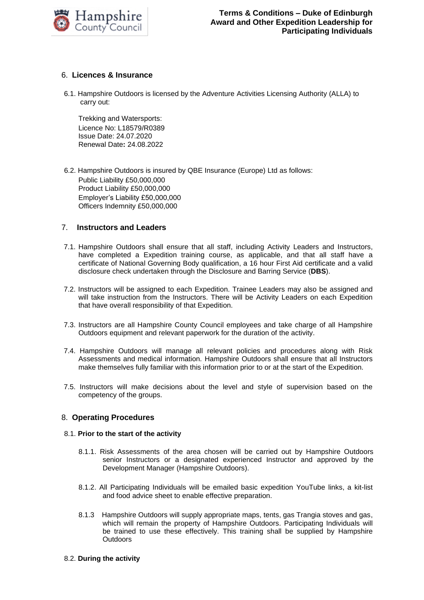

# 6. **Licences & Insurance**

6.1. Hampshire Outdoors is licensed by the Adventure Activities Licensing Authority (ALLA) to carry out:

Trekking and Watersports: Licence No: L18579/R0389 Issue Date: 24.07.2020 Renewal Date**:** 24.08.2022

6.2. Hampshire Outdoors is insured by QBE Insurance (Europe) Ltd as follows: Public Liability £50,000,000 Product Liability £50,000,000 Employer's Liability £50,000,000 Officers Indemnity £50,000,000

# 7. **Instructors and Leaders**

- 7.1. Hampshire Outdoors shall ensure that all staff, including Activity Leaders and Instructors, have completed a Expedition training course, as applicable, and that all staff have a certificate of National Governing Body qualification, a 16 hour First Aid certificate and a valid disclosure check undertaken through the Disclosure and Barring Service (**DBS**).
- 7.2. Instructors will be assigned to each Expedition. Trainee Leaders may also be assigned and will take instruction from the Instructors. There will be Activity Leaders on each Expedition that have overall responsibility of that Expedition.
- 7.3. Instructors are all Hampshire County Council employees and take charge of all Hampshire Outdoors equipment and relevant paperwork for the duration of the activity.
- 7.4. Hampshire Outdoors will manage all relevant policies and procedures along with Risk Assessments and medical information. Hampshire Outdoors shall ensure that all Instructors make themselves fully familiar with this information prior to or at the start of the Expedition.
- 7.5. Instructors will make decisions about the level and style of supervision based on the competency of the groups.

### 8. **Operating Procedures**

### 8.1. **Prior to the start of the activity**

- 8.1.1. Risk Assessments of the area chosen will be carried out by Hampshire Outdoors senior Instructors or a designated experienced Instructor and approved by the Development Manager (Hampshire Outdoors).
- 8.1.2. All Participating Individuals will be emailed basic expedition YouTube links, a kit-list and food advice sheet to enable effective preparation.
- 8.1.3 Hampshire Outdoors will supply appropriate maps, tents, gas Trangia stoves and gas, which will remain the property of Hampshire Outdoors. Participating Individuals will be trained to use these effectively. This training shall be supplied by Hampshire **Outdoors**

### 8.2. **During the activity**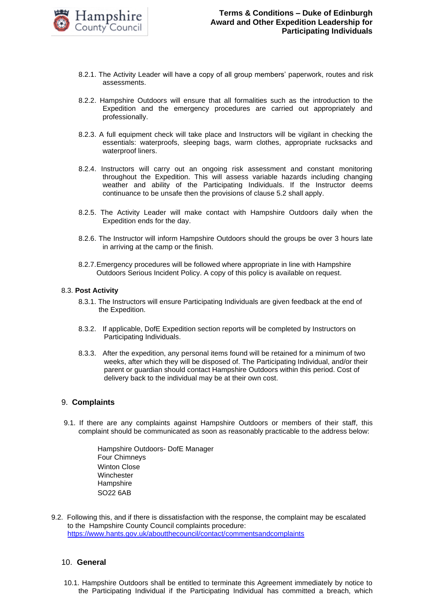

- 8.2.1. The Activity Leader will have a copy of all group members' paperwork, routes and risk assessments.
- 8.2.2. Hampshire Outdoors will ensure that all formalities such as the introduction to the Expedition and the emergency procedures are carried out appropriately and professionally.
- 8.2.3. A full equipment check will take place and Instructors will be vigilant in checking the essentials: waterproofs, sleeping bags, warm clothes, appropriate rucksacks and waterproof liners.
- 8.2.4. Instructors will carry out an ongoing risk assessment and constant monitoring throughout the Expedition. This will assess variable hazards including changing weather and ability of the Participating Individuals. If the Instructor deems continuance to be unsafe then the provisions of clause 5.2 shall apply.
- 8.2.5. The Activity Leader will make contact with Hampshire Outdoors daily when the Expedition ends for the day.
- 8.2.6. The Instructor will inform Hampshire Outdoors should the groups be over 3 hours late in arriving at the camp or the finish.
- 8.2.7.Emergency procedures will be followed where appropriate in line with Hampshire Outdoors Serious Incident Policy. A copy of this policy is available on request.

### 8.3. **Post Activity**

- 8.3.1. The Instructors will ensure Participating Individuals are given feedback at the end of the Expedition.
- 8.3.2. If applicable, DofE Expedition section reports will be completed by Instructors on Participating Individuals.
- 8.3.3. After the expedition, any personal items found will be retained for a minimum of two weeks, after which they will be disposed of. The Participating Individual, and/or their parent or guardian should contact Hampshire Outdoors within this period. Cost of delivery back to the individual may be at their own cost.

### 9. **Complaints**

9.1. If there are any complaints against Hampshire Outdoors or members of their staff, this complaint should be communicated as soon as reasonably practicable to the address below:

> Hampshire Outdoors- DofE Manager Four Chimneys Winton Close **Winchester Hampshire** SO22 6AB

9.2. Following this, and if there is dissatisfaction with the response, the complaint may be escalated to the Hampshire County Council complaints procedure: <https://www.hants.gov.uk/aboutthecouncil/contact/commentsandcomplaints>

### 10. **General**

10.1. Hampshire Outdoors shall be entitled to terminate this Agreement immediately by notice to the Participating Individual if the Participating Individual has committed a breach, which